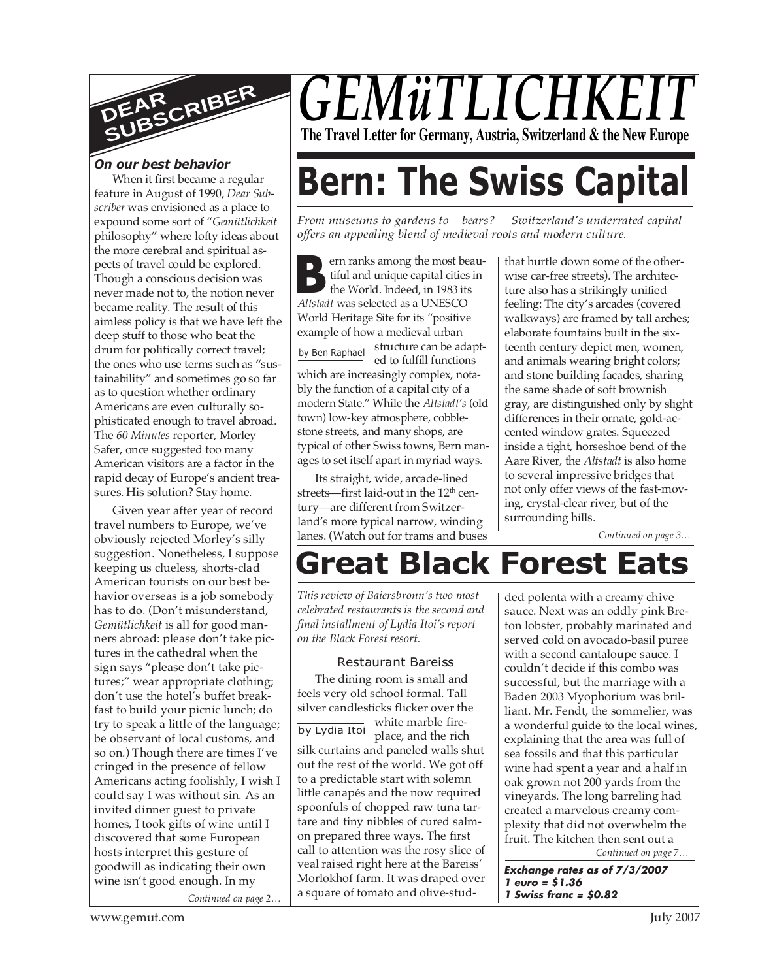

### *On our best behavior*

When it first became a regular feature in August of 1990, *Dear Subscriber* was envisioned as a place to expound some sort of "*Gemütlichkeit* philosophy" where lofty ideas about the more cerebral and spiritual aspects of travel could be explored. Though a conscious decision was never made not to, the notion never became reality. The result of this aimless policy is that we have left the deep stuff to those who beat the drum for politically correct travel; the ones who use terms such as "sustainability" and sometimes go so far as to question whether ordinary Americans are even culturally sophisticated enough to travel abroad. The *60 Minutes* reporter, Morley Safer, once suggested too many American visitors are a factor in the rapid decay of Europe's ancient treasures. His solution? Stay home.

Given year after year of record travel numbers to Europe, we've obviously rejected Morley's silly suggestion. Nonetheless, I suppose keeping us clueless, shorts-clad American tourists on our best behavior overseas is a job somebody has to do. (Don't misunderstand, *Gemütlichkeit* is all for good manners abroad: please don't take pictures in the cathedral when the sign says "please don't take pictures;" wear appropriate clothing; don't use the hotel's buffet breakfast to build your picnic lunch; do try to speak a little of the language; be observant of local customs, and so on.) Though there are times I've cringed in the presence of fellow Americans acting foolishly, I wish I could say I was without sin. As an invited dinner guest to private homes, I took gifts of wine until I discovered that some European hosts interpret this gesture of goodwill as indicating their own wine isn't good enough. In my

*Continued on page 2…*

## *GEMÜTLICHKE* **The Travel Letter for Germany, Austria, Switzerland & the New Europe**

# **Bern: The Swiss Capital**

*From museums to gardens to—bears? —Switzerland's underrated capital offers an appealing blend of medieval roots and modern culture.*

**B B EXECUTE:**<br> **B EXECUTE:**<br> **COMPOSE Altstadt was selected as a UNESCO** ern ranks among the most beautiful and unique capital cities in the World. Indeed, in 1983 its World Heritage Site for its "positive example of how a medieval urban

structure can be adapted to fulfill functions which are increasingly complex, notably the function of a capital city of a modern State." While the *Altstadt's* (old town) low-key atmosphere, cobblestone streets, and many shops, are typical of other Swiss towns, Bern manages to set itself apart in myriad ways. by Ben Raphael

Its straight, wide, arcade-lined streets—first laid-out in the 12<sup>th</sup> century—are different from Switzerland's more typical narrow, winding lanes. (Watch out for trams and buses that hurtle down some of the otherwise car-free streets). The architecture also has a strikingly unified feeling: The city's arcades (covered walkways) are framed by tall arches; elaborate fountains built in the sixteenth century depict men, women, and animals wearing bright colors; and stone building facades, sharing the same shade of soft brownish gray, are distinguished only by slight differences in their ornate, gold-accented window grates. Squeezed inside a tight, horseshoe bend of the Aare River, the *Altstadt* is also home to several impressive bridges that not only offer views of the fast-moving, crystal-clear river, but of the surrounding hills.

*Continued on page 3…*

## **Great Black Forest Eats**

*This review of Baiersbronn's two most celebrated restaurants is the second and final installment of Lydia Itoi's report on the Black Forest resort.*

#### Restaurant Bareiss

by Lydia Itoi The dining room is small and feels very old school formal. Tall silver candlesticks flicker over the white marble fireplace, and the rich silk curtains and paneled walls shut out the rest of the world. We got off to a predictable start with solemn little canapés and the now required spoonfuls of chopped raw tuna tartare and tiny nibbles of cured salmon prepared three ways. The first call to attention was the rosy slice of veal raised right here at the Bareiss' Morlokhof farm. It was draped over a square of tomato and olive-studded polenta with a creamy chive sauce. Next was an oddly pink Breton lobster, probably marinated and served cold on avocado-basil puree with a second cantaloupe sauce. I couldn't decide if this combo was successful, but the marriage with a Baden 2003 Myophorium was brilliant. Mr. Fendt, the sommelier, was a wonderful guide to the local wines, explaining that the area was full of sea fossils and that this particular wine had spent a year and a half in oak grown not 200 yards from the vineyards. The long barreling had created a marvelous creamy complexity that did not overwhelm the fruit. The kitchen then sent out a

*Continued on page 7…*

**Exchange rates as of 7/3/2007 1 euro = \$1.36 1 Swiss franc = \$0.82**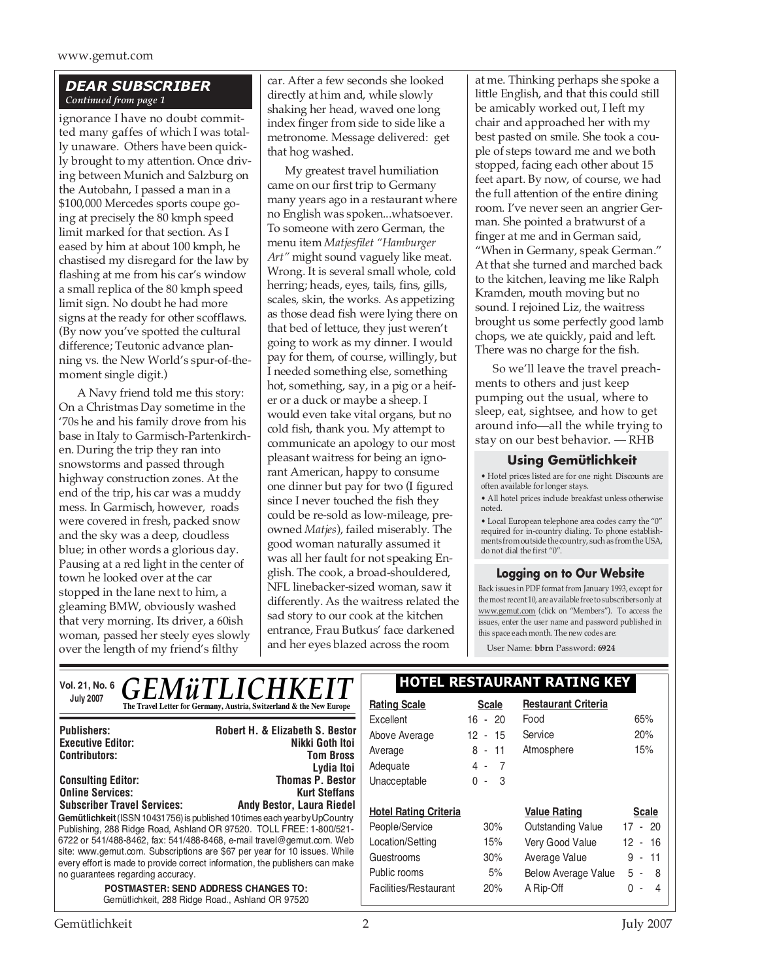#### *DEAR SUBSCRIBER Continued from page 1*

ignorance I have no doubt committed many gaffes of which I was totally unaware. Others have been quickly brought to my attention. Once driving between Munich and Salzburg on the Autobahn, I passed a man in a \$100,000 Mercedes sports coupe going at precisely the 80 kmph speed limit marked for that section. As I eased by him at about 100 kmph, he chastised my disregard for the law by flashing at me from his car's window a small replica of the 80 kmph speed limit sign. No doubt he had more signs at the ready for other scofflaws. (By now you've spotted the cultural difference; Teutonic advance planning vs. the New World's spur-of-themoment single digit.)

A Navy friend told me this story: On a Christmas Day sometime in the '70s he and his family drove from his base in Italy to Garmisch-Partenkirchen. During the trip they ran into snowstorms and passed through highway construction zones. At the end of the trip, his car was a muddy mess. In Garmisch, however, roads were covered in fresh, packed snow and the sky was a deep, cloudless blue; in other words a glorious day. Pausing at a red light in the center of town he looked over at the car stopped in the lane next to him, a gleaming BMW, obviously washed that very morning. Its driver, a 60ish woman, passed her steely eyes slowly over the length of my friend's filthy

car. After a few seconds she looked directly at him and, while slowly shaking her head, waved one long index finger from side to side like a metronome. Message delivered: get that hog washed.

My greatest travel humiliation came on our first trip to Germany many years ago in a restaurant where no English was spoken...whatsoever. To someone with zero German, the menu item *Matjesfilet "Hamburger Art"* might sound vaguely like meat. Wrong. It is several small whole, cold herring; heads, eyes, tails, fins, gills, scales, skin, the works. As appetizing as those dead fish were lying there on that bed of lettuce, they just weren't going to work as my dinner. I would pay for them, of course, willingly, but I needed something else, something hot, something, say, in a pig or a heifer or a duck or maybe a sheep. I would even take vital organs, but no cold fish, thank you. My attempt to communicate an apology to our most pleasant waitress for being an ignorant American, happy to consume one dinner but pay for two (I figured since I never touched the fish they could be re-sold as low-mileage, preowned *Matjes*), failed miserably. The good woman naturally assumed it was all her fault for not speaking English. The cook, a broad-shouldered, NFL linebacker-sized woman, saw it differently. As the waitress related the sad story to our cook at the kitchen entrance, Frau Butkus' face darkened and her eyes blazed across the room

at me. Thinking perhaps she spoke a little English, and that this could still be amicably worked out, I left my chair and approached her with my best pasted on smile. She took a couple of steps toward me and we both stopped, facing each other about 15 feet apart. By now, of course, we had the full attention of the entire dining room. I've never seen an angrier German. She pointed a bratwurst of a finger at me and in German said, "When in Germany, speak German." At that she turned and marched back to the kitchen, leaving me like Ralph Kramden, mouth moving but no sound. I rejoined Liz, the waitress brought us some perfectly good lamb chops, we ate quickly, paid and left. There was no charge for the fish.

So we'll leave the travel preachments to others and just keep pumping out the usual, where to sleep, eat, sightsee, and how to get around info—all the while trying to stay on our best behavior. — RHB

#### **Using Gemütlichkeit**

• Hotel prices listed are for one night. Discounts are often available for longer stays.

• All hotel prices include breakfast unless otherwise noted.

• Local European telephone area codes carry the "0" required for in-country dialing. To phone establishments from outside the country, such as from the USA, do not dial the first "0".

#### **Logging on to Our Website**

Back issues in PDF format from January 1993, except for the most recent 10, are available free to subscribers only at www.gemut.com (click on "Members"). To access the issues, enter the user name and password published in this space each month. The new codes are:

User Name: **bbrn** Password: **6924**

| <b>GEMÜTLICHKEIT</b><br><b>Vol. 21, No. 6</b>                                                                                                             | <b>HOTEL RESTAURANT RATING KEY</b> |                    |                            |              |
|-----------------------------------------------------------------------------------------------------------------------------------------------------------|------------------------------------|--------------------|----------------------------|--------------|
| <b>July 2007</b><br>The Travel Letter for Germany, Austria, Switzerland & the New Europe                                                                  | <b>Rating Scale</b>                | <b>Scale</b>       | <b>Restaurant Criteria</b> |              |
|                                                                                                                                                           | Excellent                          | 16 - 20            | Food                       | 65%          |
| <b>Publishers:</b><br><b>Robert H. &amp; Elizabeth S. Bestor</b><br>Nikki Goth Itoi<br><b>Executive Editor:</b>                                           | Above Average                      | 12 - 15            | Service                    | 20%          |
| <b>Tom Bross</b><br><b>Contributors:</b>                                                                                                                  | Average                            | 8<br>$-11$         | Atmosphere                 | 15%          |
| Lydia Itoi                                                                                                                                                | Adequate                           | $4 - 7$            |                            |              |
| <b>Thomas P. Bestor</b><br><b>Consulting Editor:</b>                                                                                                      | Unacceptable                       | 0<br>- 3<br>$\sim$ |                            |              |
| <b>Online Services:</b><br><b>Kurt Steffans</b>                                                                                                           |                                    |                    |                            |              |
| <b>Subscriber Travel Services:</b><br><b>Andy Bestor, Laura Riedel</b><br>Gemütlichkeit (ISSN 10431756) is published 10 times each year by UpCountry      | <b>Hotel Rating Criteria</b>       |                    | <b>Value Rating</b>        | <b>Scale</b> |
| Publishing, 288 Ridge Road, Ashland OR 97520. TOLL FREE: 1-800/521-                                                                                       | People/Service                     | 30%                | Outstanding Value          | $17 - 20$    |
| 6722 or 541/488-8462, fax: 541/488-8468, e-mail travel@gemut.com. Web                                                                                     | Location/Setting                   | 15%                | Very Good Value            | $12 - 16$    |
| site: www.gemut.com. Subscriptions are \$67 per year for 10 issues. While<br>every effort is made to provide correct information, the publishers can make | Guestrooms                         | 30%                | Average Value              | $-11$<br>9   |
| no guarantees regarding accuracy.                                                                                                                         | Public rooms                       | 5%                 | <b>Below Average Value</b> | 5<br>- 8     |
| <b>POSTMASTER: SEND ADDRESS CHANGES TO:</b><br>Gemütlichkeit, 288 Ridge Road., Ashland OR 97520                                                           | Facilities/Restaurant              | 20%                | A Rip-Off                  | 0<br>$-4$    |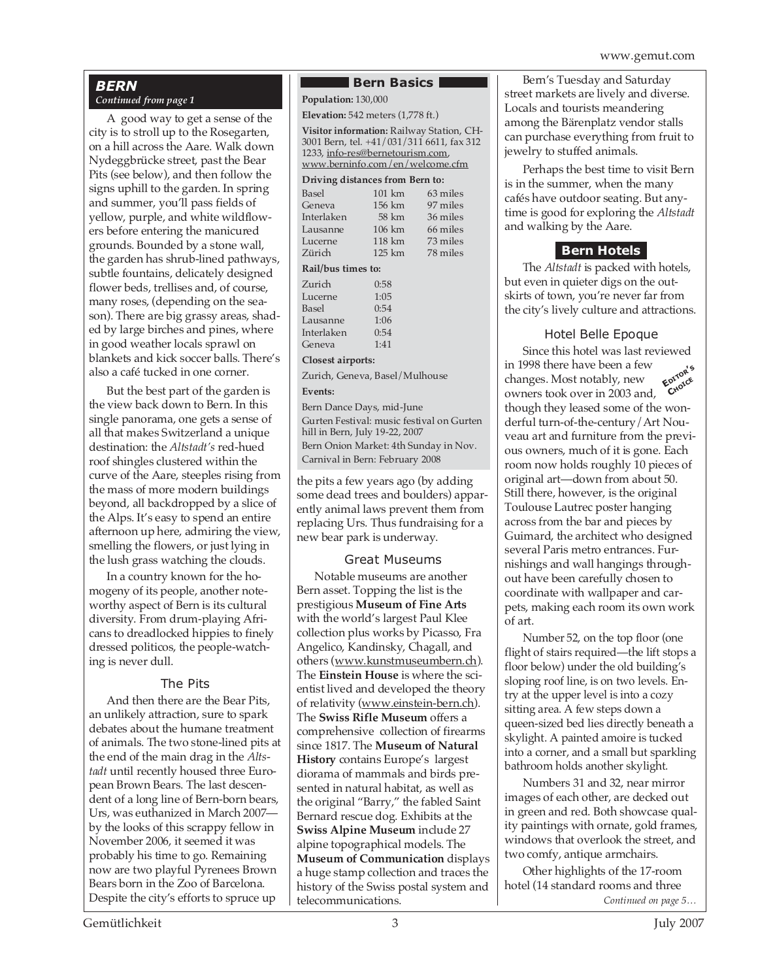### *BERN*

#### *Continued from page 1*

A good way to get a sense of the city is to stroll up to the Rosegarten, on a hill across the Aare. Walk down Nydeggbrücke street, past the Bear Pits (see below), and then follow the signs uphill to the garden. In spring and summer, you'll pass fields of yellow, purple, and white wildflowers before entering the manicured grounds. Bounded by a stone wall, the garden has shrub-lined pathways, subtle fountains, delicately designed flower beds, trellises and, of course, many roses, (depending on the season). There are big grassy areas, shaded by large birches and pines, where in good weather locals sprawl on blankets and kick soccer balls. There's also a café tucked in one corner.

But the best part of the garden is the view back down to Bern. In this single panorama, one gets a sense of all that makes Switzerland a unique destination: the *Altstadt's* red-hued roof shingles clustered within the curve of the Aare, steeples rising from the mass of more modern buildings beyond, all backdropped by a slice of the Alps. It's easy to spend an entire afternoon up here, admiring the view, smelling the flowers, or just lying in the lush grass watching the clouds.

In a country known for the homogeny of its people, another noteworthy aspect of Bern is its cultural diversity. From drum-playing Africans to dreadlocked hippies to finely dressed politicos, the people-watching is never dull.

#### The Pits

And then there are the Bear Pits, an unlikely attraction, sure to spark debates about the humane treatment of animals. The two stone-lined pits at the end of the main drag in the *Altstadt* until recently housed three European Brown Bears. The last descendent of a long line of Bern-born bears, Urs, was euthanized in March 2007 by the looks of this scrappy fellow in November 2006, it seemed it was probably his time to go. Remaining now are two playful Pyrenees Brown Bears born in the Zoo of Barcelona. Despite the city's efforts to spruce up

#### **Bern Basics I**

**Population:** 130,000

**Elevation:** 542 meters (1,778 ft.)

**Visitor information:** Railway Station, CH-3001 Bern, tel. +41/031/311 6611, fax 312 1233, info-res@bernetourism.com, www.berninfo.com/en/welcome.cfm

#### **Driving distances from Bern to:**

| $101 \text{ km}$   | 63 miles |  |  |  |
|--------------------|----------|--|--|--|
| 156 km             | 97 miles |  |  |  |
| 58 km              | 36 miles |  |  |  |
| $106 \mathrm{km}$  | 66 miles |  |  |  |
| $118 \mathrm{km}$  | 73 miles |  |  |  |
| $125 \mathrm{km}$  | 78 miles |  |  |  |
| Rail/bus times to: |          |  |  |  |
| 0:58               |          |  |  |  |
| 1:05               |          |  |  |  |
| 0:54               |          |  |  |  |
| 1:06               |          |  |  |  |
| 0:54               |          |  |  |  |
| 1:41               |          |  |  |  |
|                    |          |  |  |  |

#### **Closest airports:**

Zurich, Geneva, Basel/Mulhouse **Events:**

Bern Dance Days, mid-June Gurten Festival: music festival on Gurten hill in Bern, July 19-22, 2007 Bern Onion Market: 4th Sunday in Nov. Carnival in Bern: February 2008

the pits a few years ago (by adding some dead trees and boulders) apparently animal laws prevent them from replacing Urs. Thus fundraising for a new bear park is underway.

#### Great Museums

Notable museums are another Bern asset. Topping the list is the prestigious **Museum of Fine Arts** with the world's largest Paul Klee collection plus works by Picasso, Fra Angelico, Kandinsky, Chagall, and others (www.kunstmuseumbern.ch). The **Einstein House** is where the scientist lived and developed the theory of relativity (www.einstein-bern.ch). The **Swiss Rifle Museum** offers a comprehensive collection of firearms since 1817. The **Museum of Natural History** contains Europe's largest diorama of mammals and birds presented in natural habitat, as well as the original "Barry," the fabled Saint Bernard rescue dog. Exhibits at the **Swiss Alpine Museum** include 27 alpine topographical models. The **Museum of Communication** displays a huge stamp collection and traces the history of the Swiss postal system and telecommunications.

Bern's Tuesday and Saturday street markets are lively and diverse. Locals and tourists meandering among the Bärenplatz vendor stalls can purchase everything from fruit to jewelry to stuffed animals.

Perhaps the best time to visit Bern is in the summer, when the many cafés have outdoor seating. But anytime is good for exploring the *Altstadt* and walking by the Aare.

#### **Bern Hotels**

The *Altstadt* is packed with hotels, but even in quieter digs on the outskirts of town, you're never far from the city's lively culture and attractions.

#### Hotel Belle Epoque

**EDITOR'<sup>S</sup> CHOICE** Since this hotel was last reviewed in 1998 there have been a few changes. Most notably, new owners took over in 2003 and, though they leased some of the wonderful turn-of-the-century/Art Nouveau art and furniture from the previous owners, much of it is gone. Each room now holds roughly 10 pieces of original art—down from about 50. Still there, however, is the original Toulouse Lautrec poster hanging across from the bar and pieces by Guimard, the architect who designed several Paris metro entrances. Furnishings and wall hangings throughout have been carefully chosen to coordinate with wallpaper and carpets, making each room its own work of art.

Number 52, on the top floor (one flight of stairs required—the lift stops a floor below) under the old building's sloping roof line, is on two levels. Entry at the upper level is into a cozy sitting area. A few steps down a queen-sized bed lies directly beneath a skylight. A painted amoire is tucked into a corner, and a small but sparkling bathroom holds another skylight.

Numbers 31 and 32, near mirror images of each other, are decked out in green and red. Both showcase quality paintings with ornate, gold frames, windows that overlook the street, and two comfy, antique armchairs.

Other highlights of the 17-room hotel (14 standard rooms and three *Continued on page 5…*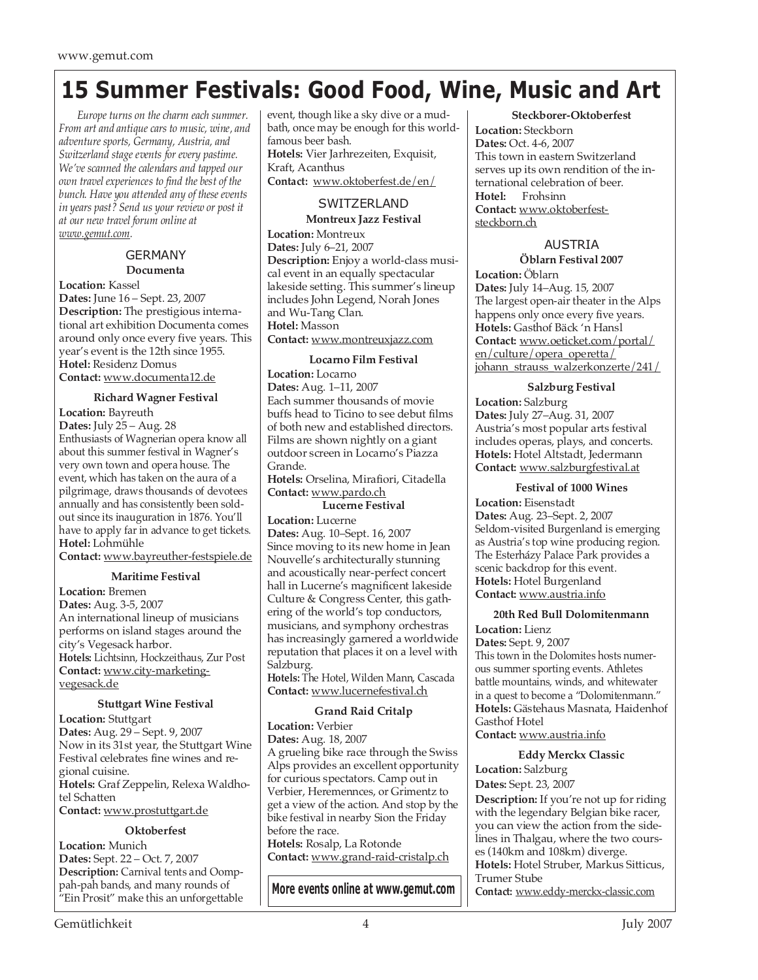## **15 Summer Festivals: Good Food, Wine, Music and Art**

*Europe turns on the charm each summer. From art and antique cars to music, wine, and adventure sports, Germany, Austria, and Switzerland stage events for every pastime. We've scanned the calendars and tapped our own travel experiences to find the best of the bunch. Have you attended any of these events in years past? Send us your review or post it at our new travel forum online at www.gemut.com.*

#### GERMANY **Documenta**

**Location:** Kassel

**Dates:** June 16 – Sept. 23, 2007 **Description:** The prestigious international art exhibition Documenta comes around only once every five years. This year's event is the 12th since 1955. **Hotel:** Residenz Domus **Contact:** www.documenta12.de

#### **Richard Wagner Festival**

**Location:** Bayreuth **Dates:** July 25 – Aug. 28 Enthusiasts of Wagnerian opera know all about this summer festival in Wagner's very own town and opera house. The event, which has taken on the aura of a pilgrimage, draws thousands of devotees annually and has consistently been soldout since its inauguration in 1876. You'll have to apply far in advance to get tickets. **Hotel:** Lohmühle

**Contact:** www.bayreuther-festspiele.de

#### **Maritime Festival**

**Location:** Bremen **Dates:** Aug. 3-5, 2007 An international lineup of musicians performs on island stages around the city's Vegesack harbor. **Hotels:** Lichtsinn, Hockzeithaus, Zur Post **Contact:** www.city-marketingvegesack.de

#### **Stuttgart Wine Festival**

**Location:** Stuttgart **Dates:** Aug. 29 – Sept. 9, 2007 Now in its 31st year, the Stuttgart Wine Festival celebrates fine wines and regional cuisine. **Hotels:** Graf Zeppelin, Relexa Waldhotel Schatten **Contact:** www.prostuttgart.de

#### **Oktoberfest**

**Location:** Munich **Dates:** Sept. 22 – Oct. 7, 2007 **Description:** Carnival tents and Oomppah-pah bands, and many rounds of "Ein Prosit" make this an unforgettable event, though like a sky dive or a mudbath, once may be enough for this worldfamous beer bash. **Hotels:** Vier Jarhrezeiten, Exquisit, Kraft, Acanthus **Contact:** www.oktoberfest.de/en/

#### **SWITZERLAND**

**Montreux Jazz Festival**

**Location:** Montreux **Dates:** July 6–21, 2007 **Description:** Enjoy a world-class musical event in an equally spectacular lakeside setting. This summer's lineup includes John Legend, Norah Jones and Wu-Tang Clan. **Hotel:** Masson **Contact:** www.montreuxjazz.com

#### **Locarno Film Festival**

**Location:** Locarno **Dates:** Aug. 1–11, 2007 Each summer thousands of movie buffs head to Ticino to see debut films of both new and established directors. Films are shown nightly on a giant outdoor screen in Locarno's Piazza Grande.

**Hotels:** Orselina, Mirafiori, Citadella **Contact:** www.pardo.ch

#### **Lucerne Festival**

**Location:** Lucerne **Dates:** Aug. 10–Sept. 16, 2007 Since moving to its new home in Jean Nouvelle's architecturally stunning and acoustically near-perfect concert hall in Lucerne's magnificent lakeside Culture & Congress Center, this gathering of the world's top conductors, musicians, and symphony orchestras has increasingly garnered a worldwide reputation that places it on a level with Salzburg.

**Hotels:** The Hotel, Wilden Mann, Cascada **Contact:** www.lucernefestival.ch

#### **Grand Raid Critalp**

**Location:** Verbier **Dates:** Aug. 18, 2007 A grueling bike race through the Swiss Alps provides an excellent opportunity for curious spectators. Camp out in Verbier, Heremennces, or Grimentz to get a view of the action. And stop by the bike festival in nearby Sion the Friday before the race. **Hotels:** Rosalp, La Rotonde **Contact:** www.grand-raid-cristalp.ch

**More events online at www.gemut.com**

#### **Steckborer-Oktoberfest**

**Location:** Steckborn **Dates:** Oct. 4-6, 2007 This town in eastern Switzerland serves up its own rendition of the international celebration of beer.<br>Hotel: Frobsinn **Hotel:** Frohsinn **Contact:** www.oktoberfeststeckborn.ch

#### AUSTRIA

**Öblarn Festival 2007**

**Location:** Öblarn **Dates:** July 14–Aug. 15, 2007 The largest open-air theater in the Alps happens only once every five years. **Hotels:** Gasthof Bäck 'n Hansl **Contact:** www.oeticket.com/portal/ en/culture/opera\_operetta/ johann\_strauss\_walzerkonzerte/241/

#### **Salzburg Festival**

**Location:** Salzburg **Dates:** July 27–Aug. 31, 2007 Austria's most popular arts festival includes operas, plays, and concerts. **Hotels:** Hotel Altstadt, Jedermann **Contact:** www.salzburgfestival.at

**Festival of 1000 Wines**

**Location:** Eisenstadt **Dates:** Aug. 23–Sept. 2, 2007 Seldom-visited Burgenland is emerging as Austria's top wine producing region. The Esterházy Palace Park provides a scenic backdrop for this event. **Hotels:** Hotel Burgenland **Contact:** www.austria.info

#### **20th Red Bull Dolomitenmann**

**Location:** Lienz

**Dates:** Sept. 9, 2007 This town in the Dolomites hosts numerous summer sporting events. Athletes battle mountains, winds, and whitewater in a quest to become a "Dolomitenmann." **Hotels:** Gästehaus Masnata, Haidenhof Gasthof Hotel

**Contact:** www.austria.info

**Eddy Merckx Classic**

**Location:** Salzburg **Dates:** Sept. 23, 2007

**Description:** If you're not up for riding with the legendary Belgian bike racer, you can view the action from the sidelines in Thalgau, where the two courses (140km and 108km) diverge. **Hotels:** Hotel Struber, Markus Sitticus, Trumer Stube

**Contact:** www.eddy-merckx-classic.com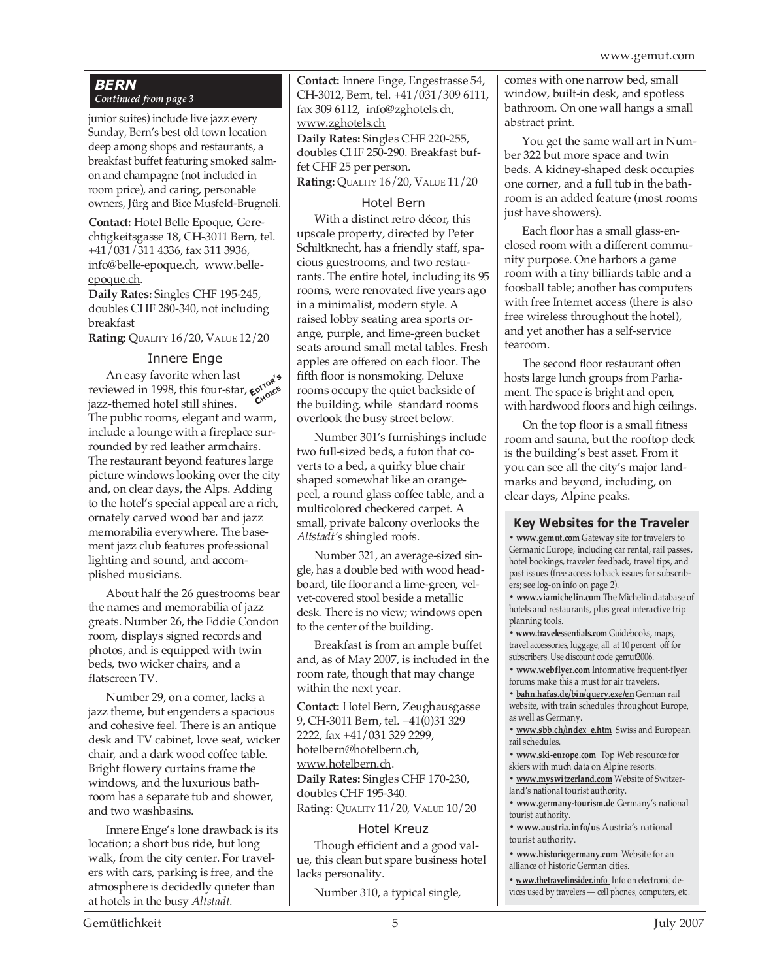#### *BERN Continued from page 3*

junior suites) include live jazz every Sunday, Bern's best old town location deep among shops and restaurants, a breakfast buffet featuring smoked salmon and champagne (not included in room price), and caring, personable owners, Jürg and Bice Musfeld-Brugnoli.

**Contact:** Hotel Belle Epoque, Gerechtigkeitsgasse 18, CH-3011 Bern, tel. +41/031/311 4336, fax 311 3936, info@belle-epoque.ch, www.belleepoque.ch.

**Daily Rates:** Singles CHF 195-245, doubles CHF 280-340, not including breakfast

**Rating:** QUALITY 16/20, VALUE 12/20

#### Innere Enge

An easy favorite when last reviewed in 1998, this four-star, **EDITOR'<sup>S</sup>** jazz-themed hotel still shines. The public rooms, elegant and warm, include a lounge with a fireplace surrounded by red leather armchairs. The restaurant beyond features large picture windows looking over the city and, on clear days, the Alps. Adding to the hotel's special appeal are a rich, ornately carved wood bar and jazz memorabilia everywhere. The basement jazz club features professional lighting and sound, and accomplished musicians. **CHOICE**

About half the 26 guestrooms bear the names and memorabilia of jazz greats. Number 26, the Eddie Condon room, displays signed records and photos, and is equipped with twin beds, two wicker chairs, and a flatscreen TV.

Number 29, on a corner, lacks a jazz theme, but engenders a spacious and cohesive feel. There is an antique desk and TV cabinet, love seat, wicker chair, and a dark wood coffee table. Bright flowery curtains frame the windows, and the luxurious bathroom has a separate tub and shower, and two washbasins.

Innere Enge's lone drawback is its location; a short bus ride, but long walk, from the city center. For travelers with cars, parking is free, and the atmosphere is decidedly quieter than at hotels in the busy *Altstadt*.

**Contact:** Innere Enge, Engestrasse 54, CH-3012, Bern, tel. +41/031/309 6111, fax 309 6112, info@zghotels.ch, www.zghotels.ch **Daily Rates:** Singles CHF 220-255, doubles CHF 250-290. Breakfast buffet CHF 25 per person.

**Rating:** QUALITY 16/20, VALUE 11/20

#### Hotel Bern

With a distinct retro décor, this upscale property, directed by Peter Schiltknecht, has a friendly staff, spacious guestrooms, and two restaurants. The entire hotel, including its 95 rooms, were renovated five years ago in a minimalist, modern style. A raised lobby seating area sports orange, purple, and lime-green bucket seats around small metal tables. Fresh apples are offered on each floor. The fifth floor is nonsmoking. Deluxe rooms occupy the quiet backside of the building, while standard rooms overlook the busy street below.

Number 301's furnishings include two full-sized beds, a futon that coverts to a bed, a quirky blue chair shaped somewhat like an orangepeel, a round glass coffee table, and a multicolored checkered carpet. A small, private balcony overlooks the *Altstadt's* shingled roofs.

Number 321, an average-sized single, has a double bed with wood headboard, tile floor and a lime-green, velvet-covered stool beside a metallic desk. There is no view; windows open to the center of the building.

Breakfast is from an ample buffet and, as of May 2007, is included in the room rate, though that may change within the next year.

**Contact:** Hotel Bern, Zeughausgasse 9, CH-3011 Bern, tel. +41(0)31 329 2222, fax +41/031 329 2299, hotelbern@hotelbern.ch, www.hotelbern.ch.

**Daily Rates:** Singles CHF 170-230, doubles CHF 195-340. Rating: QUALITY 11/20, VALUE 10/20

#### Hotel Kreuz

Though efficient and a good value, this clean but spare business hotel lacks personality.

Number 310, a typical single,

comes with one narrow bed, small window, built-in desk, and spotless bathroom. On one wall hangs a small abstract print.

You get the same wall art in Number 322 but more space and twin beds. A kidney-shaped desk occupies one corner, and a full tub in the bathroom is an added feature (most rooms just have showers).

Each floor has a small glass-enclosed room with a different community purpose. One harbors a game room with a tiny billiards table and a foosball table; another has computers with free Internet access (there is also free wireless throughout the hotel), and yet another has a self-service tearoom.

The second floor restaurant often hosts large lunch groups from Parliament. The space is bright and open, with hardwood floors and high ceilings.

On the top floor is a small fitness room and sauna, but the rooftop deck is the building's best asset. From it you can see all the city's major landmarks and beyond, including, on clear days, Alpine peaks.

#### **Key Websites for the Traveler**

**• www.gemut.com** Gateway site for travelers to Germanic Europe, including car rental, rail passes, hotel bookings, traveler feedback, travel tips, and past issues (free access to back issues for subscribers; see log-on info on page 2).

**• www.viamichelin.com** The Michelin database of hotels and restaurants, plus great interactive trip planning tools.

**• www.travelessentials.com** Guidebooks, maps, travel accessories, luggage, all at 10 percent off for subscribers. Use discount code gemut2006.

**• www.webflyer.com** Informative frequent-flyer forums make this a must for air travelers.

**• bahn.hafas.de/bin/query.exe/en** German rail website, with train schedules throughout Europe, as well as Germany.

**• www.sbb.ch/index\_e.htm** Swiss and European rail schedules.

**• www.ski-europe.com** Top Web resource for skiers with much data on Alpine resorts.

**• www.myswitzerland.com** Website of Switzerland's national tourist authority.

**• www.germany-tourism.de** Germany's national tourist authority.

**• www.austria.info/us** Austria's national tourist authority.

**• www.historicgermany.com** Website for an alliance of historic German cities.

**• www.thetravelinsider.info** Info on electronic devices used by travelers — cell phones, computers, etc.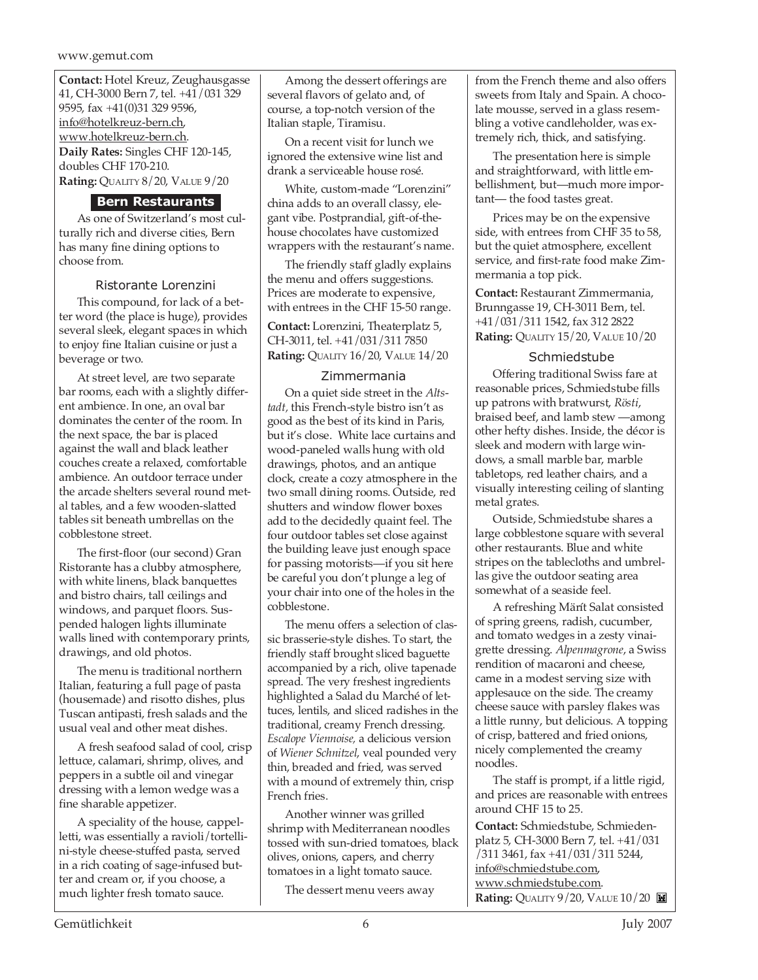**Contact:** Hotel Kreuz, Zeughausgasse 41, CH-3000 Bern 7, tel. +41/031 329 9595, fax +41(0)31 329 9596, info@hotelkreuz-bern.ch, www.hotelkreuz-bern.ch. **Daily Rates:** Singles CHF 120-145, doubles CHF 170-210. **Rating:** QUALITY 8/20, VALUE 9/20

#### **Bern Restaurants**

As one of Switzerland's most culturally rich and diverse cities, Bern has many fine dining options to choose from.

#### Ristorante Lorenzini

This compound, for lack of a better word (the place is huge), provides several sleek, elegant spaces in which to enjoy fine Italian cuisine or just a beverage or two.

At street level, are two separate bar rooms, each with a slightly different ambience. In one, an oval bar dominates the center of the room. In the next space, the bar is placed against the wall and black leather couches create a relaxed, comfortable ambience. An outdoor terrace under the arcade shelters several round metal tables, and a few wooden-slatted tables sit beneath umbrellas on the cobblestone street.

The first-floor (our second) Gran Ristorante has a clubby atmosphere, with white linens, black banquettes and bistro chairs, tall ceilings and windows, and parquet floors. Suspended halogen lights illuminate walls lined with contemporary prints, drawings, and old photos.

The menu is traditional northern Italian, featuring a full page of pasta (housemade) and risotto dishes, plus Tuscan antipasti, fresh salads and the usual veal and other meat dishes.

A fresh seafood salad of cool, crisp lettuce, calamari, shrimp, olives, and peppers in a subtle oil and vinegar dressing with a lemon wedge was a fine sharable appetizer.

A speciality of the house, cappelletti, was essentially a ravioli/tortellini-style cheese-stuffed pasta, served in a rich coating of sage-infused butter and cream or, if you choose, a much lighter fresh tomato sauce.

Among the dessert offerings are several flavors of gelato and, of course, a top-notch version of the Italian staple, Tiramisu.

On a recent visit for lunch we ignored the extensive wine list and drank a serviceable house rosé.

White, custom-made "Lorenzini" china adds to an overall classy, elegant vibe. Postprandial, gift-of-thehouse chocolates have customized wrappers with the restaurant's name.

The friendly staff gladly explains the menu and offers suggestions. Prices are moderate to expensive, with entrees in the CHF 15-50 range.

**Contact:** Lorenzini, Theaterplatz 5, CH-3011, tel. +41/031/311 7850 **Rating:** QUALITY 16/20, VALUE 14/20

#### Zimmermania

On a quiet side street in the *Altstadt,* this French-style bistro isn't as good as the best of its kind in Paris, but it's close. White lace curtains and wood-paneled walls hung with old drawings, photos, and an antique clock, create a cozy atmosphere in the two small dining rooms. Outside, red shutters and window flower boxes add to the decidedly quaint feel. The four outdoor tables set close against the building leave just enough space for passing motorists—if you sit here be careful you don't plunge a leg of your chair into one of the holes in the cobblestone.

The menu offers a selection of classic brasserie-style dishes. To start, the friendly staff brought sliced baguette accompanied by a rich, olive tapenade spread. The very freshest ingredients highlighted a Salad du Marché of lettuces, lentils, and sliced radishes in the traditional, creamy French dressing. *Escalope Viennoise,* a delicious version of *Wiener Schnitzel*, veal pounded very thin, breaded and fried, was served with a mound of extremely thin, crisp French fries.

Another winner was grilled shrimp with Mediterranean noodles tossed with sun-dried tomatoes, black olives, onions, capers, and cherry tomatoes in a light tomato sauce.

The dessert menu veers away

from the French theme and also offers sweets from Italy and Spain. A chocolate mousse, served in a glass resembling a votive candleholder, was extremely rich, thick, and satisfying.

The presentation here is simple and straightforward, with little embellishment, but—much more important— the food tastes great.

Prices may be on the expensive side, with entrees from CHF 35 to 58, but the quiet atmosphere, excellent service, and first-rate food make Zimmermania a top pick.

**Contact:** Restaurant Zimmermania, Brunngasse 19, CH-3011 Bern, tel. +41/031/311 1542, fax 312 2822 **Rating:** QUALITY 15/20, VALUE 10/20

#### Schmiedstube

Offering traditional Swiss fare at reasonable prices, Schmiedstube fills up patrons with bratwurst, *Rösti*, braised beef, and lamb stew —among other hefty dishes. Inside, the décor is sleek and modern with large windows, a small marble bar, marble tabletops, red leather chairs, and a visually interesting ceiling of slanting metal grates.

Outside, Schmiedstube shares a large cobblestone square with several other restaurants. Blue and white stripes on the tablecloths and umbrellas give the outdoor seating area somewhat of a seaside feel.

A refreshing Märít Salat consisted of spring greens, radish, cucumber, and tomato wedges in a zesty vinaigrette dressing. *Alpenmagrone*, a Swiss rendition of macaroni and cheese, came in a modest serving size with applesauce on the side. The creamy cheese sauce with parsley flakes was a little runny, but delicious. A topping of crisp, battered and fried onions, nicely complemented the creamy noodles.

The staff is prompt, if a little rigid, and prices are reasonable with entrees around CHF 15 to 25.

**Contact:** Schmiedstube, Schmiedenplatz 5, CH-3000 Bern 7, tel. +41/031 /311 3461, fax +41/031/311 5244, info@schmiedstube.com, www.schmiedstube.com. **Rating:** QUALITY 9/20, VALUE  $10/20$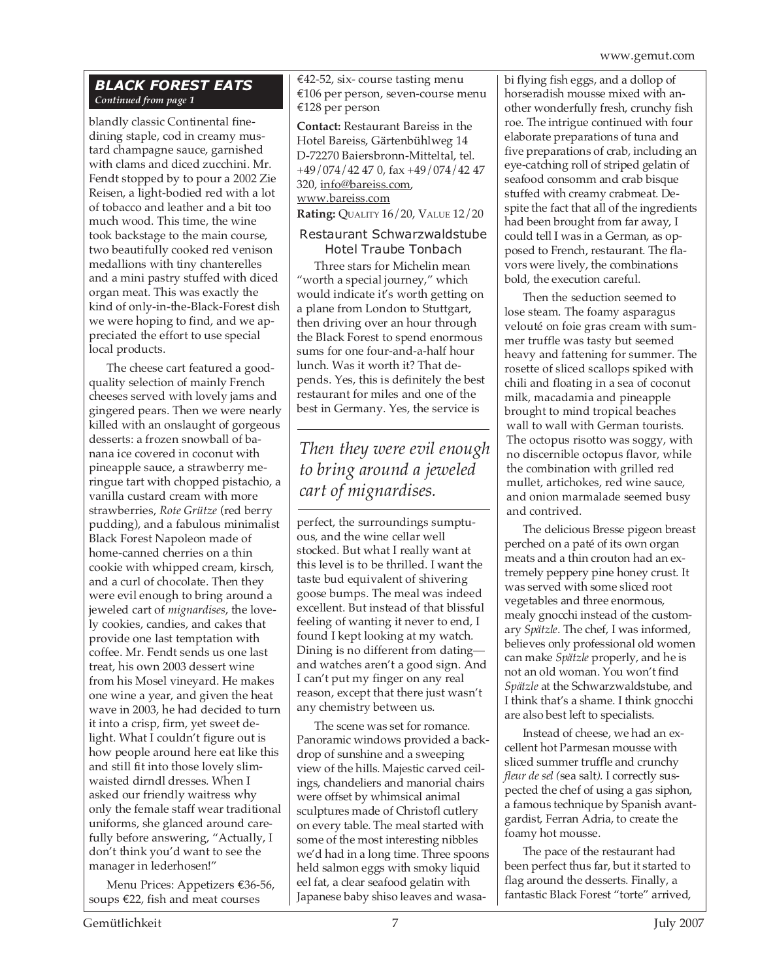#### *BLACK FOREST EATS Continued from page 1*

blandly classic Continental finedining staple, cod in creamy mustard champagne sauce, garnished with clams and diced zucchini. Mr. Fendt stopped by to pour a 2002 Zie Reisen, a light-bodied red with a lot of tobacco and leather and a bit too much wood. This time, the wine took backstage to the main course, two beautifully cooked red venison medallions with tiny chanterelles and a mini pastry stuffed with diced organ meat. This was exactly the kind of only-in-the-Black-Forest dish we were hoping to find, and we appreciated the effort to use special local products.

The cheese cart featured a goodquality selection of mainly French cheeses served with lovely jams and gingered pears. Then we were nearly killed with an onslaught of gorgeous desserts: a frozen snowball of banana ice covered in coconut with pineapple sauce, a strawberry meringue tart with chopped pistachio, a vanilla custard cream with more strawberries, *Rote Grütze* (red berry pudding), and a fabulous minimalist Black Forest Napoleon made of home-canned cherries on a thin cookie with whipped cream, kirsch, and a curl of chocolate. Then they were evil enough to bring around a jeweled cart of *mignardises*, the lovely cookies, candies, and cakes that provide one last temptation with coffee. Mr. Fendt sends us one last treat, his own 2003 dessert wine from his Mosel vineyard. He makes one wine a year, and given the heat wave in 2003, he had decided to turn it into a crisp, firm, yet sweet delight. What I couldn't figure out is how people around here eat like this and still fit into those lovely slimwaisted dirndl dresses. When I asked our friendly waitress why only the female staff wear traditional uniforms, she glanced around carefully before answering, "Actually, I don't think you'd want to see the manager in lederhosen!"

Menu Prices: Appetizers €36-56, soups €22, fish and meat courses

€42-52, six- course tasting menu €106 per person, seven-course menu €128 per person

**Contact:** Restaurant Bareiss in the Hotel Bareiss, Gärtenbühlweg 14 D-72270 Baiersbronn-Mitteltal, tel. +49/074/42 47 0, fax +49/074/42 47 320, info@bareiss.com, www.bareiss.com

**Rating:** QUALITY 16/20, VALUE 12/20

#### Restaurant Schwarzwaldstube Hotel Traube Tonbach

Three stars for Michelin mean "worth a special journey," which would indicate it's worth getting on a plane from London to Stuttgart, then driving over an hour through the Black Forest to spend enormous sums for one four-and-a-half hour lunch. Was it worth it? That depends. Yes, this is definitely the best restaurant for miles and one of the best in Germany. Yes, the service is

### *Then they were evil enough to bring around a jeweled cart of mignardises.*

perfect, the surroundings sumptuous, and the wine cellar well stocked. But what I really want at this level is to be thrilled. I want the taste bud equivalent of shivering goose bumps. The meal was indeed excellent. But instead of that blissful feeling of wanting it never to end, I found I kept looking at my watch. Dining is no different from dating and watches aren't a good sign. And I can't put my finger on any real reason, except that there just wasn't any chemistry between us.

The scene was set for romance. Panoramic windows provided a backdrop of sunshine and a sweeping view of the hills. Majestic carved ceilings, chandeliers and manorial chairs were offset by whimsical animal sculptures made of Christofl cutlery on every table. The meal started with some of the most interesting nibbles we'd had in a long time. Three spoons held salmon eggs with smoky liquid eel fat, a clear seafood gelatin with Japanese baby shiso leaves and wasabi flying fish eggs, and a dollop of horseradish mousse mixed with another wonderfully fresh, crunchy fish roe. The intrigue continued with four elaborate preparations of tuna and five preparations of crab, including an eye-catching roll of striped gelatin of seafood consomm and crab bisque stuffed with creamy crabmeat. Despite the fact that all of the ingredients had been brought from far away, I could tell I was in a German, as opposed to French, restaurant. The flavors were lively, the combinations bold, the execution careful.

Then the seduction seemed to lose steam. The foamy asparagus velouté on foie gras cream with summer truffle was tasty but seemed heavy and fattening for summer. The rosette of sliced scallops spiked with chili and floating in a sea of coconut milk, macadamia and pineapple brought to mind tropical beaches wall to wall with German tourists. The octopus risotto was soggy, with no discernible octopus flavor, while the combination with grilled red mullet, artichokes, red wine sauce, and onion marmalade seemed busy and contrived.

The delicious Bresse pigeon breast perched on a paté of its own organ meats and a thin crouton had an extremely peppery pine honey crust. It was served with some sliced root vegetables and three enormous, mealy gnocchi instead of the customary *Spätzle*. The chef, I was informed, believes only professional old women can make *Spätzle* properly, and he is not an old woman. You won't find *Spätzle* at the Schwarzwaldstube, and I think that's a shame. I think gnocchi are also best left to specialists.

Instead of cheese, we had an excellent hot Parmesan mousse with sliced summer truffle and crunchy *fleur de sel (*sea salt*)*. I correctly suspected the chef of using a gas siphon, a famous technique by Spanish avantgardist, Ferran Adria, to create the foamy hot mousse.

The pace of the restaurant had been perfect thus far, but it started to flag around the desserts. Finally, a fantastic Black Forest "torte" arrived,